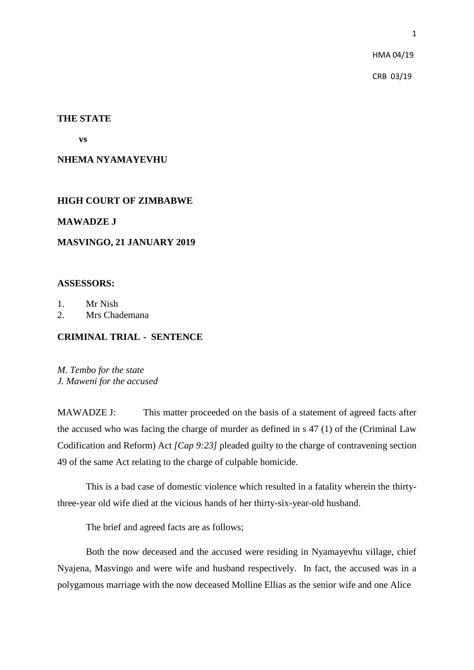HMA 04/19

CRB 03/19

#### **THE STATE**

 **vs**

#### **NHEMA NYAMAYEVHU**

## **HIGH COURT OF ZIMBABWE**

#### **MAWADZE J**

## **MASVINGO, 21 JANUARY 2019**

# **ASSESSORS:**

- 1. Mr Nish
- 2. Mrs Chademana

# **CRIMINAL TRIAL - SENTENCE**

*M. Tembo for the state J. Maweni for the accused*

MAWADZE J: This matter proceeded on the basis of a statement of agreed facts after the accused who was facing the charge of murder as defined in s 47 (1) of the (Criminal Law Codification and Reform) Act *[Cap 9:23]* pleaded guilty to the charge of contravening section 49 of the same Act relating to the charge of culpable homicide.

This is a bad case of domestic violence which resulted in a fatality wherein the thirtythree-year old wife died at the vicious hands of her thirty-six-year-old husband.

The brief and agreed facts are as follows;

Both the now deceased and the accused were residing in Nyamayevhu village, chief Nyajena, Masvingo and were wife and husband respectively. In fact, the accused was in a polygamous marriage with the now deceased Molline Ellias as the senior wife and one Alice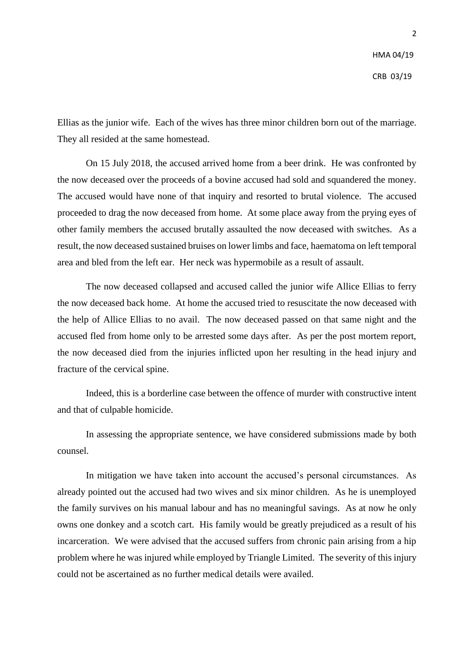Ellias as the junior wife. Each of the wives has three minor children born out of the marriage. They all resided at the same homestead.

On 15 July 2018, the accused arrived home from a beer drink. He was confronted by the now deceased over the proceeds of a bovine accused had sold and squandered the money. The accused would have none of that inquiry and resorted to brutal violence. The accused proceeded to drag the now deceased from home. At some place away from the prying eyes of other family members the accused brutally assaulted the now deceased with switches. As a result, the now deceased sustained bruises on lower limbs and face, haematoma on left temporal area and bled from the left ear. Her neck was hypermobile as a result of assault.

The now deceased collapsed and accused called the junior wife Allice Ellias to ferry the now deceased back home. At home the accused tried to resuscitate the now deceased with the help of Allice Ellias to no avail. The now deceased passed on that same night and the accused fled from home only to be arrested some days after. As per the post mortem report, the now deceased died from the injuries inflicted upon her resulting in the head injury and fracture of the cervical spine.

Indeed, this is a borderline case between the offence of murder with constructive intent and that of culpable homicide.

In assessing the appropriate sentence, we have considered submissions made by both counsel.

In mitigation we have taken into account the accused's personal circumstances. As already pointed out the accused had two wives and six minor children. As he is unemployed the family survives on his manual labour and has no meaningful savings. As at now he only owns one donkey and a scotch cart. His family would be greatly prejudiced as a result of his incarceration. We were advised that the accused suffers from chronic pain arising from a hip problem where he was injured while employed by Triangle Limited. The severity of this injury could not be ascertained as no further medical details were availed.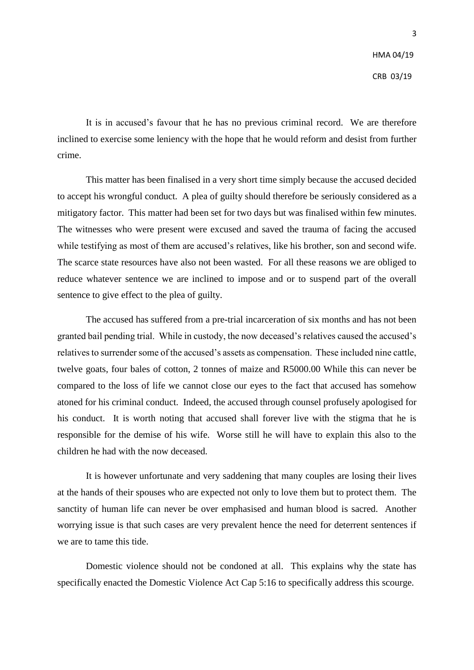It is in accused's favour that he has no previous criminal record. We are therefore inclined to exercise some leniency with the hope that he would reform and desist from further crime.

This matter has been finalised in a very short time simply because the accused decided to accept his wrongful conduct. A plea of guilty should therefore be seriously considered as a mitigatory factor. This matter had been set for two days but was finalised within few minutes. The witnesses who were present were excused and saved the trauma of facing the accused while testifying as most of them are accused's relatives, like his brother, son and second wife. The scarce state resources have also not been wasted. For all these reasons we are obliged to reduce whatever sentence we are inclined to impose and or to suspend part of the overall sentence to give effect to the plea of guilty.

The accused has suffered from a pre-trial incarceration of six months and has not been granted bail pending trial. While in custody, the now deceased's relatives caused the accused's relatives to surrender some of the accused's assets as compensation. These included nine cattle, twelve goats, four bales of cotton, 2 tonnes of maize and R5000.00 While this can never be compared to the loss of life we cannot close our eyes to the fact that accused has somehow atoned for his criminal conduct. Indeed, the accused through counsel profusely apologised for his conduct. It is worth noting that accused shall forever live with the stigma that he is responsible for the demise of his wife. Worse still he will have to explain this also to the children he had with the now deceased.

It is however unfortunate and very saddening that many couples are losing their lives at the hands of their spouses who are expected not only to love them but to protect them. The sanctity of human life can never be over emphasised and human blood is sacred. Another worrying issue is that such cases are very prevalent hence the need for deterrent sentences if we are to tame this tide.

Domestic violence should not be condoned at all. This explains why the state has specifically enacted the Domestic Violence Act Cap 5:16 to specifically address this scourge.